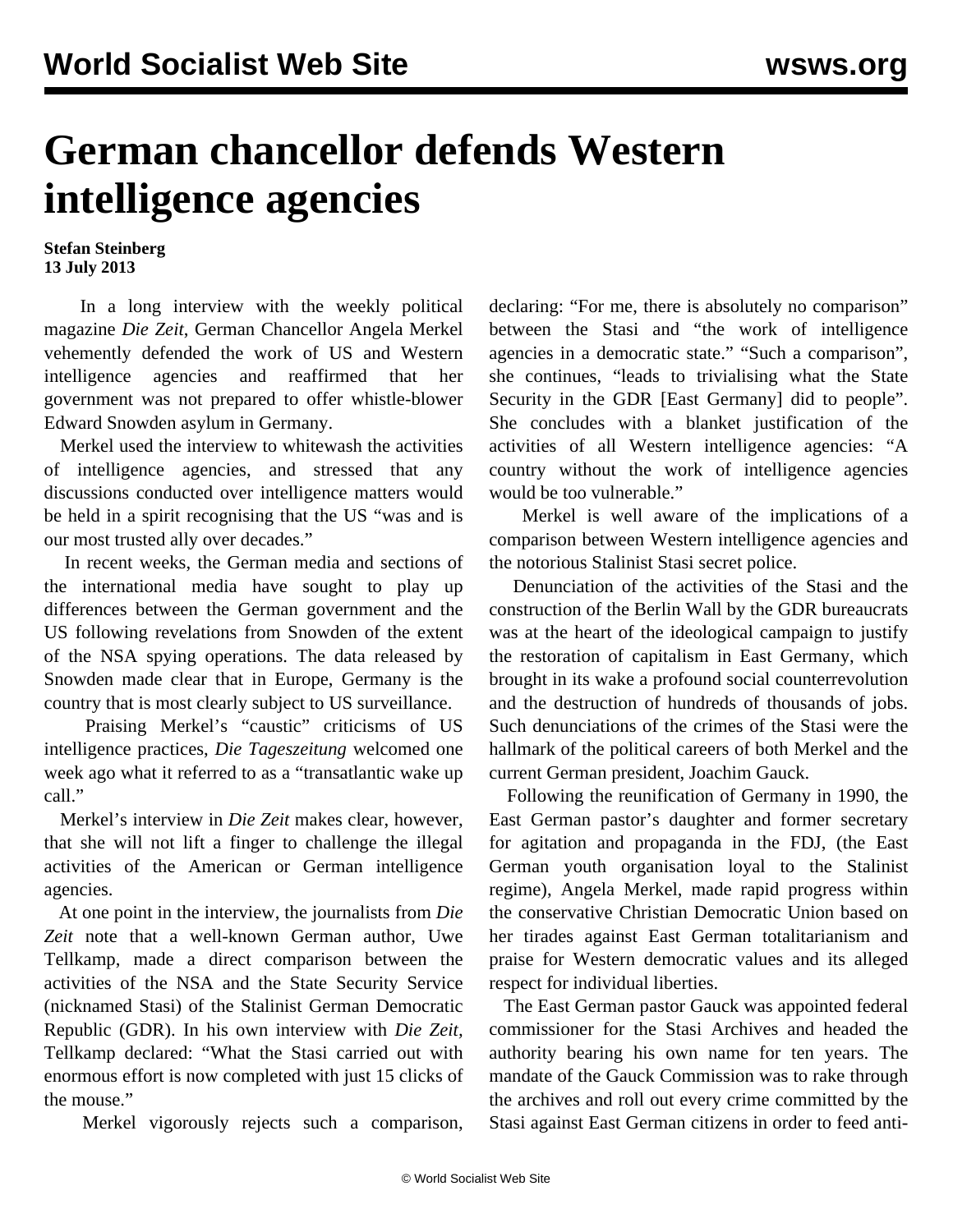## **German chancellor defends Western intelligence agencies**

**Stefan Steinberg 13 July 2013**

 In a long interview with the weekly political magazine *Die Zeit*, German Chancellor Angela Merkel vehemently defended the work of US and Western intelligence agencies and reaffirmed that her government was not prepared to offer whistle-blower Edward Snowden asylum in Germany.

 Merkel used the interview to whitewash the activities of intelligence agencies, and stressed that any discussions conducted over intelligence matters would be held in a spirit recognising that the US "was and is our most trusted ally over decades."

 In recent weeks, the German media and sections of the international media have sought to play up differences between the German government and the US following revelations from Snowden of the extent of the NSA spying operations. The data released by Snowden made clear that in Europe, Germany is the country that is most clearly subject to US surveillance.

 Praising Merkel's "caustic" criticisms of US intelligence practices, *Die Tageszeitung* welcomed one week ago what it referred to as a "transatlantic wake up call."

 Merkel's interview in *Die Zeit* makes clear, however, that she will not lift a finger to challenge the illegal activities of the American or German intelligence agencies.

 At one point in the interview, the journalists from *Die Zeit* note that a well-known German author, Uwe Tellkamp, made a direct comparison between the activities of the NSA and the State Security Service (nicknamed Stasi) of the Stalinist German Democratic Republic (GDR). In his own interview with *Die Zeit,* Tellkamp declared: "What the Stasi carried out with enormous effort is now completed with just 15 clicks of the mouse."

Merkel vigorously rejects such a comparison,

declaring: "For me, there is absolutely no comparison" between the Stasi and "the work of intelligence agencies in a democratic state." "Such a comparison", she continues, "leads to trivialising what the State Security in the GDR [East Germany] did to people". She concludes with a blanket justification of the activities of all Western intelligence agencies: "A country without the work of intelligence agencies would be too vulnerable."

 Merkel is well aware of the implications of a comparison between Western intelligence agencies and the notorious Stalinist Stasi secret police.

 Denunciation of the activities of the Stasi and the construction of the Berlin Wall by the GDR bureaucrats was at the heart of the ideological campaign to justify the restoration of capitalism in East Germany, which brought in its wake a profound social counterrevolution and the destruction of hundreds of thousands of jobs. Such denunciations of the crimes of the Stasi were the hallmark of the political careers of both Merkel and the current German president, Joachim Gauck.

 Following the reunification of Germany in 1990, the East German pastor's daughter and former secretary for agitation and propaganda in the FDJ, (the East German youth organisation loyal to the Stalinist regime), Angela Merkel, made rapid progress within the conservative Christian Democratic Union based on her tirades against East German totalitarianism and praise for Western democratic values and its alleged respect for individual liberties.

 The East German pastor Gauck was appointed federal commissioner for the Stasi Archives and headed the authority bearing his own name for ten years. The mandate of the Gauck Commission was to rake through the archives and roll out every crime committed by the Stasi against East German citizens in order to feed anti